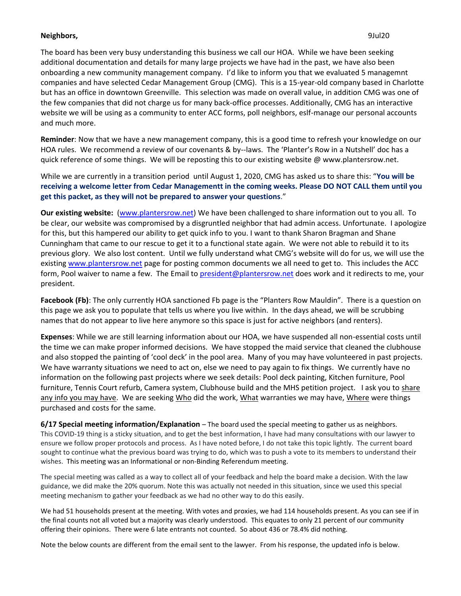## **Neighbors,** 9Jul20

The board has been very busy understanding this business we call our HOA. While we have been seeking additional documentation and details for many large projects we have had in the past, we have also been onboarding a new community management company. I'd like to inform you that we evaluated 5 managemnt companies and have selected Cedar Management Group (CMG). This is a 15-year-old company based in Charlotte but has an office in downtown Greenville. This selection was made on overall value, in addition CMG was one of the few companies that did not charge us for many back-office processes. Additionally, CMG has an interactive website we will be using as a community to enter ACC forms, poll neighbors, eslf-manage our personal accounts and much more.

**Reminder**: Now that we have a new management company, this is a good time to refresh your knowledge on our HOA rules. We recommend a review of our covenants & by--laws. The 'Planter's Row in a Nutshell' doc has a quick reference of some things. We will be reposting this to our existing website @ www.plantersrow.net.

While we are currently in a transition period until August 1, 2020, CMG has asked us to share this: "**You will be receiving a welcome letter from Cedar Managementt in the coming weeks. Please DO NOT CALL them until you get this packet, as they will not be prepared to answer your questions**."

**Our existing website:** [\(www.plantersrow.net\)](http://www.plantersrow.net/) We have been challenged to share information out to you all. To be clear, our website was compromised by a disgruntled neighbor that had admin access. Unfortunate. I apologize for this, but this hampered our ability to get quick info to you. I want to thank Sharon Bragman and Shane Cunningham that came to our rescue to get it to a functional state again. We were not able to rebuild it to its previous glory. We also lost content. Until we fully understand what CMG's website will do for us, we will use the existin[g www.plantersrow.net](http://www.plantersrow.net/) page for posting common documents we all need to get to. This includes the ACC form, Pool waiver to name a few. The Email t[o president@plantersrow.net](mailto:president@plantersrow.net) does work and it redirects to me, your president.

**Facebook (Fb)**: The only currently HOA sanctioned Fb page is the "Planters Row Mauldin". There is a question on this page we ask you to populate that tells us where you live within. In the days ahead, we will be scrubbing names that do not appear to live here anymore so this space is just for active neighbors (and renters).

**Expenses**: While we are still learning information about our HOA, we have suspended all non-essential costs until the time we can make proper informed decisions. We have stopped the maid service that cleaned the clubhouse and also stopped the painting of 'cool deck' in the pool area. Many of you may have volunteered in past projects. We have warranty situations we need to act on, else we need to pay again to fix things. We currently have no information on the following past projects where we seek details: Pool deck painting, Kitchen furniture, Pool furniture, Tennis Court refurb, Camera system, Clubhouse build and the MHS petition project. I ask you to share any info you may have. We are seeking Who did the work, What warranties we may have, Where were things purchased and costs for the same.

**6/17 Special meeting information/Explanation** – The board used the special meeting to gather us as neighbors. This COVID-19 thing is a sticky situation, and to get the best information, I have had many consultations with our lawyer to ensure we follow proper protocols and process. As I have noted before, I do not take this topic lightly. The current board sought to continue what the previous board was trying to do, which was to push a vote to its members to understand their wishes. This meeting was an Informational or non-Binding Referendum meeting.

The special meeting was called as a way to collect all of your feedback and help the board make a decision. With the law guidance, we did make the 20% quorum. Note this was actually not needed in this situation, since we used this special meeting mechanism to gather your feedback as we had no other way to do this easily.

We had 51 households present at the meeting. With votes and proxies, we had 114 households present. As you can see if in the final counts not all voted but a majority was clearly understood. This equates to only 21 percent of our community offering their opinions. There were 6 late entrants not counted. So about 436 or 78.4% did nothing.

Note the below counts are different from the email sent to the lawyer. From his response, the updated info is below.